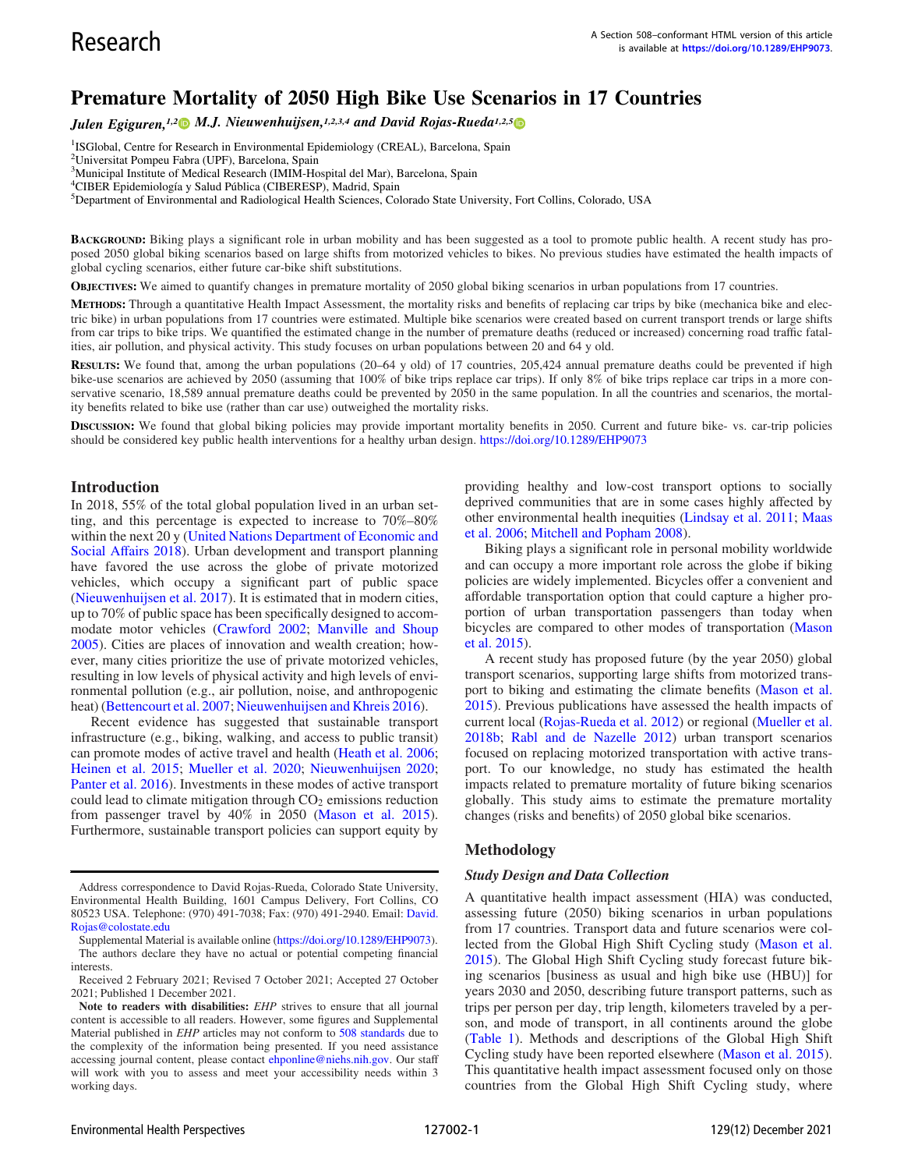# Premature Mortality of 2050 High Bike Use Scenarios in 17 Countries

Julen Egiguren,<sup>1,2</sup> M.J. Nieuwenhuijsen,<sup>1,2,3,4</sup> and David Rojas-Rueda<sup>1,2,5</sup>

<sup>1</sup>ISGlobal, Centre for Research in Environmental Epidemiology (CREAL), Barcelona, Spain

<sup>3</sup>Municipal Institute of Medical Research (IMIM-Hospital del Mar), Barcelona, Spain

4 CIBER Epidemiología y Salud Pública (CIBERESP), Madrid, Spain

<sup>5</sup>Department of Environmental and Radiological Health Sciences, Colorado State University, Fort Collins, Colorado, USA

BACKGROUND: Biking plays a significant role in urban mobility and has been suggested as a tool to promote public health. A recent study has proposed 2050 global biking scenarios based on large shifts from motorized vehicles to bikes. No previous studies have estimated the health impacts of global cycling scenarios, either future car-bike shift substitutions.

OBJECTIVES: We aimed to quantify changes in premature mortality of 2050 global biking scenarios in urban populations from 17 countries.

METHODS: Through a quantitative Health Impact Assessment, the mortality risks and benefits of replacing car trips by bike (mechanica bike and electric bike) in urban populations from 17 countries were estimated. Multiple bike scenarios were created based on current transport trends or large shifts from car trips to bike trips. We quantified the estimated change in the number of premature deaths (reduced or increased) concerning road traffic fatalities, air pollution, and physical activity. This study focuses on urban populations between 20 and 64 y old.

RESULTS: We found that, among the urban populations (20–64 y old) of 17 countries, 205,424 annual premature deaths could be prevented if high bike-use scenarios are achieved by 2050 (assuming that 100% of bike trips replace car trips). If only 8% of bike trips replace car trips in a more conservative scenario, 18,589 annual premature deaths could be prevented by 2050 in the same population. In all the countries and scenarios, the mortality benefits related to bike use (rather than car use) outweighed the mortality risks.

DISCUSSION: We found that global biking policies may provide important mortality benefits in 2050. Current and future bike- vs. car-trip policies should be considered key public health interventions for a healthy urban design. <https://doi.org/10.1289/EHP9073>

### Introduction

In 2018, 55% of the total global population lived in an urban setting, and this percentage is expected to increase to 70%–80% within the next 20 y [\(United Nations Department of Economic and](#page-9-0) Social Aff[airs 2018](#page-9-0)). Urban development and transport planning have favored the use across the globe of private motorized vehicles, which occupy a significant part of public space [\(Nieuwenhuijsen et al. 2017](#page-9-1)). It is estimated that in modern cities, up to 70% of public space has been specifically designed to accommodate motor vehicles [\(Crawford 2002;](#page-8-0) [Manville and Shoup](#page-9-2) [2005](#page-9-2)). Cities are places of innovation and wealth creation; however, many cities prioritize the use of private motorized vehicles, resulting in low levels of physical activity and high levels of environmental pollution (e.g., air pollution, noise, and anthropogenic heat) ([Bettencourt et al. 2007](#page-8-1); [Nieuwenhuijsen and Khreis 2016\)](#page-9-3).

Recent evidence has suggested that sustainable transport infrastructure (e.g., biking, walking, and access to public transit) can promote modes of active travel and health [\(Heath et al. 2006](#page-8-2); [Heinen et al. 2015](#page-8-3); [Mueller et al. 2020;](#page-9-4) [Nieuwenhuijsen 2020](#page-9-5); [Panter et al. 2016](#page-9-6)). Investments in these modes of active transport could lead to climate mitigation through  $CO<sub>2</sub>$  emissions reduction from passenger travel by 40% in 2050 ([Mason et al. 2015](#page-9-7)). Furthermore, sustainable transport policies can support equity by providing healthy and low-cost transport options to socially deprived communities that are in some cases highly affected by other environmental health inequities ([Lindsay et al. 2011;](#page-9-8) [Maas](#page-9-9) [et al. 2006;](#page-9-9) [Mitchell and Popham 2008\)](#page-9-10).

Biking plays a significant role in personal mobility worldwide and can occupy a more important role across the globe if biking policies are widely implemented. Bicycles offer a convenient and affordable transportation option that could capture a higher proportion of urban transportation passengers than today when bicycles are compared to other modes of transportation [\(Mason](#page-9-7) [et al. 2015\)](#page-9-7).

A recent study has proposed future (by the year 2050) global transport scenarios, supporting large shifts from motorized transport to biking and estimating the climate benefits [\(Mason et al.](#page-9-7) [2015](#page-9-7)). Previous publications have assessed the health impacts of current local [\(Rojas-Rueda et al. 2012](#page-9-11)) or regional ([Mueller et al.](#page-9-12) [2018b;](#page-9-12) [Rabl and de Nazelle 2012](#page-9-13)) urban transport scenarios focused on replacing motorized transportation with active transport. To our knowledge, no study has estimated the health impacts related to premature mortality of future biking scenarios globally. This study aims to estimate the premature mortality changes (risks and benefits) of 2050 global bike scenarios.

# Methodology

#### Study Design and Data Collection

A quantitative health impact assessment (HIA) was conducted, assessing future (2050) biking scenarios in urban populations from 17 countries. Transport data and future scenarios were collected from the Global High Shift Cycling study ([Mason et al.](#page-9-7) [2015](#page-9-7)). The Global High Shift Cycling study forecast future biking scenarios [business as usual and high bike use (HBU)] for years 2030 and 2050, describing future transport patterns, such as trips per person per day, trip length, kilometers traveled by a person, and mode of transport, in all continents around the globe [\(Table 1\)](#page-1-0). Methods and descriptions of the Global High Shift Cycling study have been reported elsewhere ([Mason et al. 2015](#page-9-7)). This quantitative health impact assessment focused only on those countries from the Global High Shift Cycling study, where

<sup>&</sup>lt;sup>2</sup>Universitat Pompeu Fabra (UPF), Barcelona, Spain

Address correspondence to David Rojas-Rueda, Colorado State University, Environmental Health Building, 1601 Campus Delivery, Fort Collins, CO 80523 USA. Telephone: (970) 491-7038; Fax: (970) 491-2940. Email: [David.](mailto:David.Rojas@colostate.edu) [Rojas@colostate.edu](mailto:David.Rojas@colostate.edu)

Supplemental Material is available online (<https://doi.org/10.1289/EHP9073>). The authors declare they have no actual or potential competing financial interests.

Received 2 February 2021; Revised 7 October 2021; Accepted 27 October 2021; Published 1 December 2021.

Note to readers with disabilities: EHP strives to ensure that all journal content is accessible to all readers. However, some figures and Supplemental Material published in EHP articles may not conform to [508 standards](http://ehp.niehs.nih.gov/accessibility/) due to the complexity of the information being presented. If you need assistance accessing journal content, please contact [ehponline@niehs.nih.gov.](mailto:ehponline@niehs.nih.gov) Our staff will work with you to assess and meet your accessibility needs within 3 working days.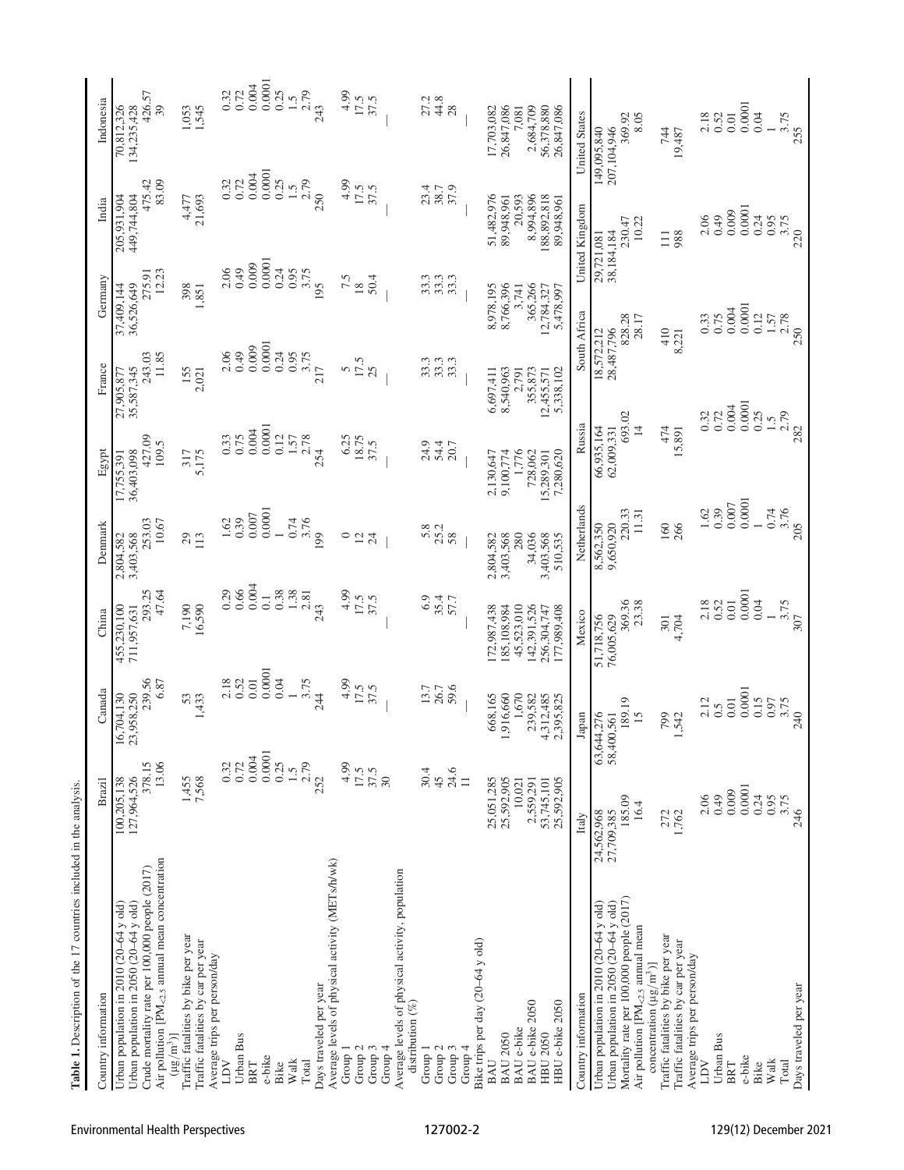<span id="page-1-0"></span>

| Table 1. Description of the 17 countries included in the analysis                                                                                                                                    |                                               |                                               |                                               |                                           |                                             |                                             |                                             |                                               |                                              |
|------------------------------------------------------------------------------------------------------------------------------------------------------------------------------------------------------|-----------------------------------------------|-----------------------------------------------|-----------------------------------------------|-------------------------------------------|---------------------------------------------|---------------------------------------------|---------------------------------------------|-----------------------------------------------|----------------------------------------------|
| Country information                                                                                                                                                                                  | Brazil                                        | Canada                                        | China                                         | Denmark                                   | Egypt                                       | France                                      | Germany                                     | India                                         | Indonesia                                    |
| Air pollution [PM <sub>&lt;2.5</sub> annual mean concentration<br>Crude mortality rate per 100,000 people (2017)<br>Urban population in 2050 (20-64 y old)<br>Urban population in 2010 (20-64 y old) | 13.06<br>378.15<br>127,964,526<br>100,205,138 | 239.56<br>6.87<br>23,958,250<br>16,704,130    | 293.25<br>47.64<br>455,230,100<br>711,957,631 | 253.03<br>10.67<br>3,403,568<br>2,804,582 | 427.09<br>109.5<br>36,403,098<br>17,755,391 | 11.85<br>243.03<br>35,587,345<br>27,905,877 | 12.23<br>275.91<br>36,526,649<br>37,409,144 | 83.09<br>475.42<br>205,931,904<br>449,744,804 | 426.57<br>70,812,326<br>134,235,428<br>39    |
| Traffic fatalities by bike per year<br>Traffic fatalities by car per year<br>Average trips per person/day<br>$(\mu g/m^3)$                                                                           | 1,455<br>7,568                                | 53<br>,433                                    | 7,190<br>16,590                               | 29<br>113                                 | 317<br>5,175                                | 155<br>2,021                                | 398<br>1,851                                | 21,693<br>4,477                               | 1,053<br>1,545                               |
| Urban Bus<br>LDV                                                                                                                                                                                     | 0.32<br>0.72                                  | 2.18<br>0.52                                  | 0.66<br>0.29                                  | 0.39<br>1.62                              | 0.75<br>0.33                                | 0.49<br>2.06                                | 0.49<br>2.06                                | 0.32<br>0.72                                  | 0.72<br>0.32                                 |
| e-bike<br>BRT                                                                                                                                                                                        | 0.0001<br>0.004                               | 0.0001<br>$0.01$                              | 0.004<br>$\overline{0}$ .                     | 0.0001<br>0.007                           | 0.0001<br>$0.004$                           | 0.0001<br>0.009                             | 0.0001<br>0.009                             | 0.0001<br>$0.004$                             | 0.0001<br>$0.004$                            |
| Bike                                                                                                                                                                                                 | 0.25                                          | $0.04$                                        | 0.38                                          |                                           | 0.12                                        | 0.24                                        | 0.24                                        | 0.25                                          | 0.25                                         |
| Walk<br>Total                                                                                                                                                                                        | $1.5$<br>2.79                                 | 3.75                                          | 1.38<br>2.81                                  | 0.74<br>3.76                              | $1.57$<br>2.78                              | 0.95<br>3.75                                | 0.95<br>3.75                                | $1.5$<br>2.79                                 | 2.79<br>1.5                                  |
| Average levels of physical activity (METs/h/wk)<br>Days traveled per year                                                                                                                            | 252                                           | 24                                            | 243                                           | 199                                       | 254                                         | 217                                         | 195                                         | 250                                           | 243                                          |
| Group 1                                                                                                                                                                                              | 4.99                                          | 4.99                                          | 4.99                                          | $\circ$                                   | 6.25                                        | $\frac{5}{17.5}$                            | 7.5                                         | 4.99                                          | 4.99                                         |
| Group <sub>2</sub><br>Group 3                                                                                                                                                                        | 17.5                                          | 17.5                                          | 17.5<br>37.5                                  | $\overline{c}$<br>24                      | 18.75<br>37.5                               | 25                                          | 50.4<br>$\overline{18}$                     | 17.5                                          | $17.5$<br>37.5                               |
| Group 4                                                                                                                                                                                              | 37.5<br>30                                    |                                               |                                               |                                           |                                             |                                             |                                             |                                               |                                              |
| Average levels of physical activity, population<br>distribution $(\%)$                                                                                                                               |                                               |                                               |                                               |                                           |                                             |                                             |                                             |                                               |                                              |
| Group 1                                                                                                                                                                                              | 30.4                                          | 13.7                                          | 6.9                                           | $5.8$<br>25.2                             | 24.9                                        | 33.3                                        | 33.3                                        | 23.4                                          | 27.2                                         |
| Group 3<br>Group <sub>2</sub>                                                                                                                                                                        | 24.6<br>45                                    | 59.6<br>26.7                                  | 35.4<br>57.7                                  | 58                                        | 54.4<br>20.7                                | 33.3<br>33.3                                | 33.3<br>33.3                                | 37.9<br>38.7                                  | 44.8<br>28                                   |
| Group $4$                                                                                                                                                                                            | $\Box$                                        |                                               |                                               |                                           |                                             |                                             |                                             |                                               |                                              |
| Bike trips per day (20-64 y old)                                                                                                                                                                     |                                               |                                               |                                               |                                           |                                             |                                             |                                             |                                               |                                              |
| <b>BAU 2050</b><br>BAU                                                                                                                                                                               | 25,051,285<br>25,592,905                      | ,916,660<br>668,165                           | 172,987,438<br>185,108,984                    | 2,804,582<br>3,403,568                    | 9,100,774<br>2,130,647                      | 8,540,963<br>6,697,411                      | 8,978,195<br>8,766,396                      | 51,482,976<br>89,948,961                      | 26,847,086<br>17,703,082                     |
| <b>BAU</b> e-bike                                                                                                                                                                                    | 10,021                                        | 1,670                                         | 45,523,010                                    | 280                                       | 1,776                                       | 2,791                                       | 3,741                                       | 20,593                                        | 7,081                                        |
| BAU e-bike 2050                                                                                                                                                                                      | 2,559,291                                     | 239,582                                       | 142,391,526                                   | 34,036                                    | 728,062                                     | 355,873                                     | 365,266                                     | 8,994,896                                     | 2,684,709                                    |
| HBU e-bike 2050<br><b>HBU 2050</b>                                                                                                                                                                   | 25,592,905<br>53,745,101                      | 4,312,485<br>2,395,825                        | 177,989,408<br>256,304,747                    | 3,403,568<br>510,535                      | 7,280,620<br>15,289,301                     | 5,338,102<br>12,455,571                     | 12,784,327<br>5,478,997                     | 188,892,818<br>89,948,961                     | 56,378,880<br>26,847,086                     |
| Country information                                                                                                                                                                                  | Italy                                         | apan                                          | Mexico                                        | Netherlands                               | Russia                                      |                                             | South Africa                                | United Kingdom                                | <b>United States</b>                         |
| Mortality rate per 100,000 people (2017)<br>Urban population in 2050 (20-64 y old)<br>Urban population in 2010 (20-64 y old)<br>Air pollution [PM <sub>&lt;2.5</sub> annual mean                     | 185.09<br>16.4<br>27,709,385<br>24,562,968    | 189.19<br>63,644,276<br>15<br>1,561<br>58,400 | 369.36<br>23.38<br>76,005,629<br>51,718,756   | 220.33<br>11.31<br>9,650,920<br>8,562,350 | 66,935,164<br>62,009,331<br>$\overline{4}$  | 28,487,796<br>18,572,212<br>693.02          | 828.28<br>28.17                             | 230.47<br>10.22<br>38,184,184<br>29,721,081   | 8.05<br>369.92<br>149,095,840<br>207,104,946 |
| Traffic fatalities by bike per year<br>Traffic fatalities by car per year<br>concentration $(\mu g/m^3)$ ]                                                                                           | 272<br>1,762                                  | 799<br>,542                                   | 4,704<br>301                                  | 160<br>266                                | 474<br>15,891                               |                                             | 410<br>8,221                                | 988<br>$\Box$                                 | 74<br>19,487                                 |
| Average trips per person/day<br>LDV                                                                                                                                                                  |                                               |                                               |                                               |                                           |                                             |                                             |                                             |                                               |                                              |
| Urban Bus                                                                                                                                                                                            | 64.0<br>2.06                                  | 2.12<br>0.5                                   | 2.18<br>0.52                                  | 0.39<br>1.62                              |                                             | 0.32<br>0.72                                | 0.33<br>0.75                                | 0.49<br>2.06                                  | 2.18<br>0.52                                 |
| e-bike<br>BRT                                                                                                                                                                                        | 0.0001<br>0.009                               | 0.0001<br>$0.01$                              | 0.0001<br>$0.01$                              | 0.0001<br>0.007                           |                                             | 0.0001<br>0.004                             | 0.0001<br>0.004                             | 0.0001<br>0.009                               | 0.0001<br>$0.01$                             |
| Walk<br>Bike                                                                                                                                                                                         | 0.24<br>0.95                                  | 0.15<br>0.97                                  | 0.04                                          | 0.74                                      |                                             | 0.25<br>1.5                                 | 0.12<br>$1.57$                              | 0.24<br>0.95                                  | 0.04                                         |
| Total                                                                                                                                                                                                | 3.75                                          | 3.75                                          | 3.75                                          | 3.76                                      |                                             | 2.79                                        | 2.78                                        | 3.75                                          | 3.75                                         |
| Days traveled per year                                                                                                                                                                               | 246                                           | 240                                           |                                               | 205                                       | 282                                         |                                             | 250                                         | 220                                           | 255                                          |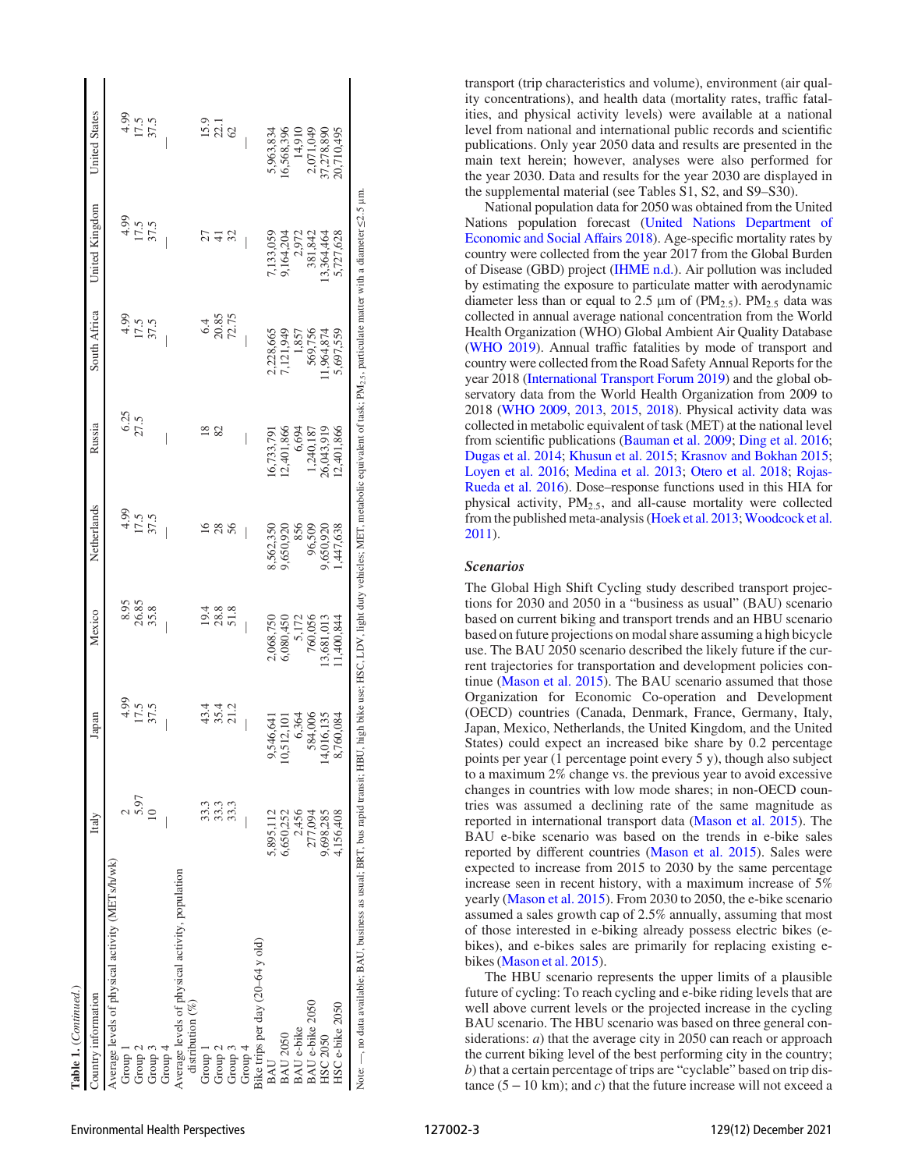| Table 1. (Continued.)                                                            |              |                    |               |                          |                  |                |                                                                                                                                                |                      |
|----------------------------------------------------------------------------------|--------------|--------------------|---------------|--------------------------|------------------|----------------|------------------------------------------------------------------------------------------------------------------------------------------------|----------------------|
| Country information                                                              | Italy        | Japan              | Mexico        | Netherlands              | Russia           | South Africa   | United Kingdom                                                                                                                                 | <b>United States</b> |
| Average levels of physical activity (METs/h/wk)                                  |              |                    |               |                          |                  |                |                                                                                                                                                |                      |
| Group 1                                                                          |              | 4.99               | 8.95          | 4.99                     |                  | 4.99           | 4.99                                                                                                                                           |                      |
| Group 2                                                                          | 5.97         | 17.5<br>37.5       | 26.85<br>35.8 | 17.5                     | $6.25$<br>$27.5$ | $17.5$<br>37.5 | $17.5$<br>37.5                                                                                                                                 | $\frac{175}{175}$    |
| Group 3                                                                          | $\approx$    |                    |               |                          |                  |                |                                                                                                                                                |                      |
| Group $4$                                                                        |              |                    |               |                          |                  |                |                                                                                                                                                |                      |
| Average levels of physical activity, population<br>distribution (%)              |              |                    |               |                          |                  |                |                                                                                                                                                |                      |
|                                                                                  |              |                    |               |                          |                  |                |                                                                                                                                                |                      |
| Group 1                                                                          |              | 43.4               | 19.4          | $\overline{6}$           | $\frac{8}{2}$    | 6.4            | 27                                                                                                                                             |                      |
| Group <sub>2</sub>                                                               | 33.3<br>33.3 | 35.4               | 28.8          | 28                       | 82               | 20.85          | ╤                                                                                                                                              | $15.9$<br>22.1       |
| Group 3                                                                          | 33.3         | 21.2               | 51.8          | 56                       |                  | 72.75          | 32                                                                                                                                             | $\mathcal{O}$        |
| Group 4                                                                          | $\Big $      |                    |               | $\overline{\phantom{a}}$ |                  | I              |                                                                                                                                                |                      |
| Bike trips per day (20-64 y old)                                                 |              |                    |               |                          |                  |                |                                                                                                                                                |                      |
| BAU                                                                              | 5,895,112    | 46,641<br>9,54     | 2,068,750     | 8,562,350                | 16.733.791       | 2,228,665      | ,133,059                                                                                                                                       | 5,963,834            |
| <b>BAU 2050</b>                                                                  | 6,650,252    | 10,512,101         | 6,080,450     | 9,650,920                | 12,401,866       | 7,121,949      | 9,164,204                                                                                                                                      | 16,568,396           |
| <b>BAU</b> e-bike                                                                | 2,456        | 6,364              | 5,172         | 856                      | 6,694            | 1,857          | 2.972                                                                                                                                          | 14,910               |
| BAU e-bike 2050                                                                  | 277,094      | 84,006             | 760,056       | 96,509                   | 1,240,187        | 569,756        | 381,842                                                                                                                                        | 2,071,049            |
| HSC 2050                                                                         | 9,698,285    | 16,135<br>$14,0$ ? | 13,681,013    | 9,650,920                | 26,043,919       | 1,964,874      | 13.364.464                                                                                                                                     | 37,278,890           |
| HSC e-bike 2050                                                                  | 4,156,408    | 8,760,084          | 1,400,844     | ,447,638                 | 12,401,866       | 5,697,559      | 5,727,628                                                                                                                                      | 20,710,495           |
| Note: —, no data available; BAU, business as usual; BRT, bus rapid transit; HBU, |              |                    |               |                          |                  |                | high bike use; HSC, LDV, light duty vehicles; MET, metabolic equivalent of task; PM <sub>25</sub> , particulate matter with a diameter <2.5 µm |                      |

transport (trip characteristics and volume), environment (air quality concentrations), and health data (mortality rates, traffic fatalities, and physical activity levels) were available at a national level from national and international public records and scientific publications. Only year 2050 data and results are presented in the main text herein; however, analyses were also performed for the year 2030. Data and results for the year 2030 are displayed in the supplemental material (see Tables S1, S2, and S9–S30).

National population data for 2050 was obtained from the United Nations population forecast [\(United Nations Department of](#page-9-0) [Economic and Social A](#page-9-0)ffairs 2018). Age-specific mortality rates by country were collected from the year 2017 from the Global Burden of Disease (GBD) project [\(IHME n.d.](#page-8-4)). Air pollution was included by estimating the exposure to particulate matter with aerodynamic diameter less than or equal to 2.5  $\mu$ m of (PM<sub>2.5</sub>). PM<sub>2.5</sub> data was collected in annual average national concentration from the World Health Organization (WHO) Global Ambient Air Quality Database [\(WHO 2019](#page-9-14)). Annual traffic fatalities by mode of transport and country were collected from the Road Safety Annual Reports for the year 2018 [\(International Transport Forum 2019](#page-9-15)) and the global observatory data from the World Health Organization from 2009 to 2018 ([WHO 2009](#page-9-16), [2013](#page-9-17), [2015,](#page-9-18) [2018\)](#page-9-19). Physical activity data was collected in metabolic equivalent of task (MET) at the national level from scientific publications ([Bauman et al. 2009;](#page-8-5) [Ding et al. 2016](#page-8-6); [Dugas et al. 2014;](#page-8-7) [Khusun et al. 2015](#page-9-20); [Krasnov and Bokhan 2015](#page-9-21); [Loyen et al. 2016](#page-9-22); [Medina et al. 2013](#page-9-23); [Otero et al. 2018;](#page-9-24) [Rojas-](#page-9-25)[Rueda et al. 2016](#page-9-25)). Dose–response functions used in this HIA for physical activity,  $PM_{2.5}$ , and all-cause mortality were collected from the published meta-analysis [\(Hoek et al. 2013](#page-8-8); [Woodcock et al.](#page-9-26) [2011\)](#page-9-26).

#### Scenarios

The Global High Shift Cycling study described transport projections for 2030 and 2050 in a "business as usual" (BAU) scenario based on current biking and transport trends and an HBU scenario based on future projections on modal share assuming a high bicycle use. The BAU 2050 scenario described the likely future if the current trajectories for transportation and development policies continue ([Mason et al. 2015\)](#page-9-7). The BAU scenario assumed that those Organization for Economic Co-operation and Development (OECD) countries (Canada, Denmark, France, Germany, Italy, Japan, Mexico, Netherlands, the United Kingdom, and the United States) could expect an increased bike share by 0.2 percentage points per year (1 percentage point every 5 y), though also subject to a maximum 2% change vs. the previous year to avoid excessive changes in countries with low mode shares; in non-OECD countries was assumed a declining rate of the same magnitude as reported in international transport data [\(Mason et al. 2015\)](#page-9-7). The BAU e-bike scenario was based on the trends in e-bike sales reported by different countries ([Mason et al. 2015\)](#page-9-7). Sales were expected to increase from 2015 to 2030 by the same percentage increase seen in recent history, with a maximum increase of 5% yearly ([Mason et al. 2015](#page-9-7)). From 2030 to 2050, the e-bike scenario assumed a sales growth cap of 2.5% annually, assuming that most of those interested in e-biking already possess electric bikes (ebikes), and e-bikes sales are primarily for replacing existing ebikes ([Mason et al. 2015\)](#page-9-7).

The HBU scenario represents the upper limits of a plausible future of cycling: To reach cycling and e-bike riding levels that are well above current levels or the projected increase in the cycling BAU scenario. The HBU scenario was based on three general considerations: *a*) that the average city in 2050 can reach or approach the current biking level of the best performing city in the country; b) that a certain percentage of trips are "cyclable" based on trip distance  $(5-10 \text{ km})$ ; and c) that the future increase will not exceed a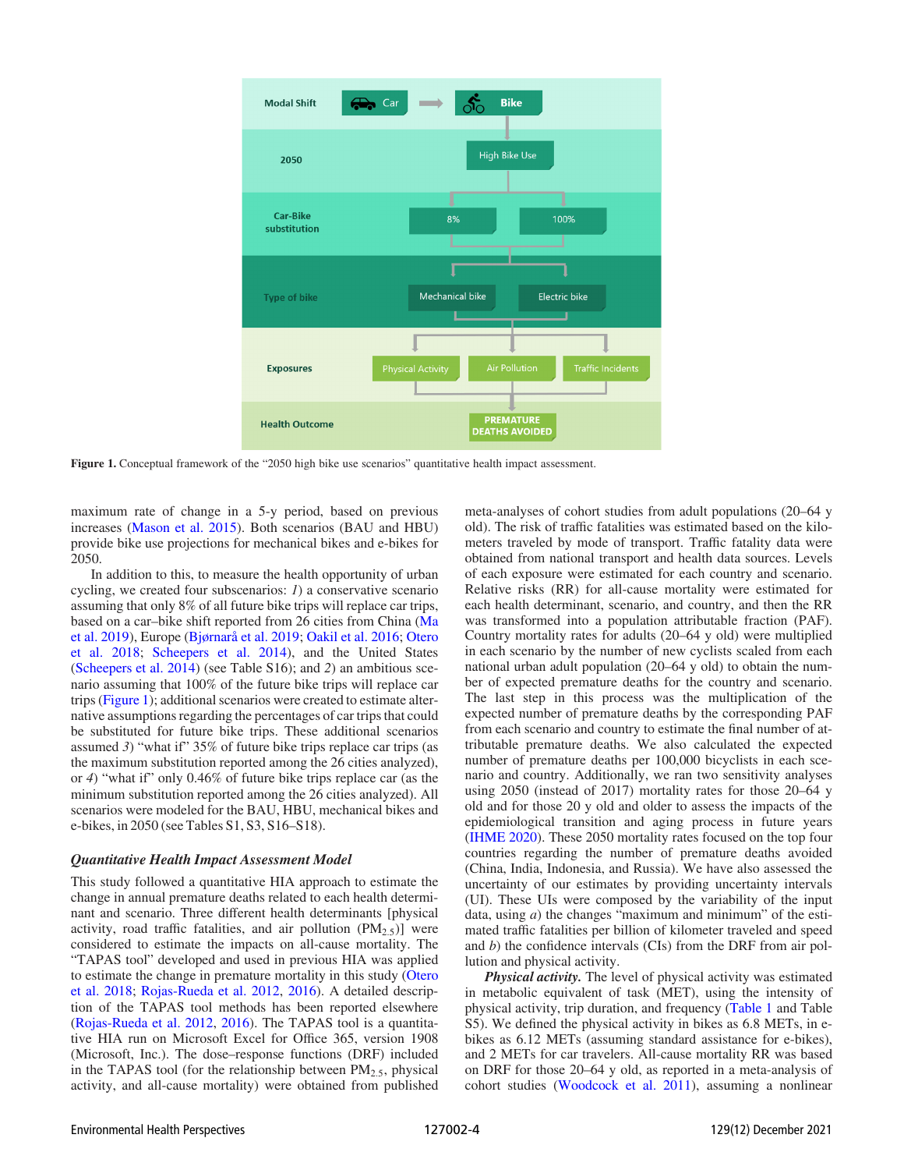

Figure 1. Conceptual framework of the "2050 high bike use scenarios" quantitative health impact assessment.

maximum rate of change in a 5-y period, based on previous increases [\(Mason et al. 2015](#page-9-7)). Both scenarios (BAU and HBU) provide bike use projections for mechanical bikes and e-bikes for 2050.

In addition to this, to measure the health opportunity of urban cycling, we created four subscenarios: 1) a conservative scenario assuming that only 8% of all future bike trips will replace car trips, based on a car–bike shift reported from 26 cities from China [\(Ma](#page-9-27) [et al. 2019\)](#page-9-27), Europe [\(Bjørnarå et al. 2019;](#page-8-9) [Oakil et al. 2016;](#page-9-28) [Otero](#page-9-24) [et al. 2018;](#page-9-24) [Scheepers et al. 2014](#page-9-29)), and the United States [\(Scheepers et al. 2014](#page-9-29)) (see Table S16); and 2) an ambitious scenario assuming that 100% of the future bike trips will replace car trips (Figure 1); additional scenarios were created to estimate alternative assumptions regarding the percentages of car trips that could be substituted for future bike trips. These additional scenarios assumed 3) "what if"  $35\%$  of future bike trips replace car trips (as the maximum substitution reported among the 26 cities analyzed), or 4) "what if" only 0.46% of future bike trips replace car (as the minimum substitution reported among the 26 cities analyzed). All scenarios were modeled for the BAU, HBU, mechanical bikes and e-bikes, in 2050 (see Tables S1, S3, S16–S18).

#### Quantitative Health Impact Assessment Model

This study followed a quantitative HIA approach to estimate the change in annual premature deaths related to each health determinant and scenario. Three different health determinants [physical activity, road traffic fatalities, and air pollution  $(PM<sub>2.5</sub>)$ ] were considered to estimate the impacts on all-cause mortality. The "TAPAS tool" developed and used in previous HIA was applied to estimate the change in premature mortality in this study [\(Otero](#page-9-24) [et al. 2018;](#page-9-24) [Rojas-Rueda et al. 2012,](#page-9-11) [2016](#page-9-25)). A detailed description of the TAPAS tool methods has been reported elsewhere [\(Rojas-Rueda et al. 2012,](#page-9-11) [2016](#page-9-25)). The TAPAS tool is a quantitative HIA run on Microsoft Excel for Office 365, version 1908 (Microsoft, Inc.). The dose–response functions (DRF) included in the TAPAS tool (for the relationship between  $PM_{2.5}$ , physical activity, and all-cause mortality) were obtained from published meta-analyses of cohort studies from adult populations (20–64 y old). The risk of traffic fatalities was estimated based on the kilometers traveled by mode of transport. Traffic fatality data were obtained from national transport and health data sources. Levels of each exposure were estimated for each country and scenario. Relative risks (RR) for all-cause mortality were estimated for each health determinant, scenario, and country, and then the RR was transformed into a population attributable fraction (PAF). Country mortality rates for adults (20–64 y old) were multiplied in each scenario by the number of new cyclists scaled from each national urban adult population (20–64 y old) to obtain the number of expected premature deaths for the country and scenario. The last step in this process was the multiplication of the expected number of premature deaths by the corresponding PAF from each scenario and country to estimate the final number of attributable premature deaths. We also calculated the expected number of premature deaths per 100,000 bicyclists in each scenario and country. Additionally, we ran two sensitivity analyses using 2050 (instead of 2017) mortality rates for those 20–64 y old and for those 20 y old and older to assess the impacts of the epidemiological transition and aging process in future years [\(IHME 2020\)](#page-8-10). These 2050 mortality rates focused on the top four countries regarding the number of premature deaths avoided (China, India, Indonesia, and Russia). We have also assessed the uncertainty of our estimates by providing uncertainty intervals (UI). These UIs were composed by the variability of the input data, using  $a$ ) the changes "maximum and minimum" of the estimated traffic fatalities per billion of kilometer traveled and speed and b) the confidence intervals (CIs) from the DRF from air pollution and physical activity.

**Physical activity.** The level of physical activity was estimated in metabolic equivalent of task (MET), using the intensity of physical activity, trip duration, and frequency ([Table 1](#page-1-0) and Table S5). We defined the physical activity in bikes as 6.8 METs, in ebikes as 6.12 METs (assuming standard assistance for e-bikes), and 2 METs for car travelers. All-cause mortality RR was based on DRF for those 20–64 y old, as reported in a meta-analysis of cohort studies [\(Woodcock et al. 2011](#page-9-26)), assuming a nonlinear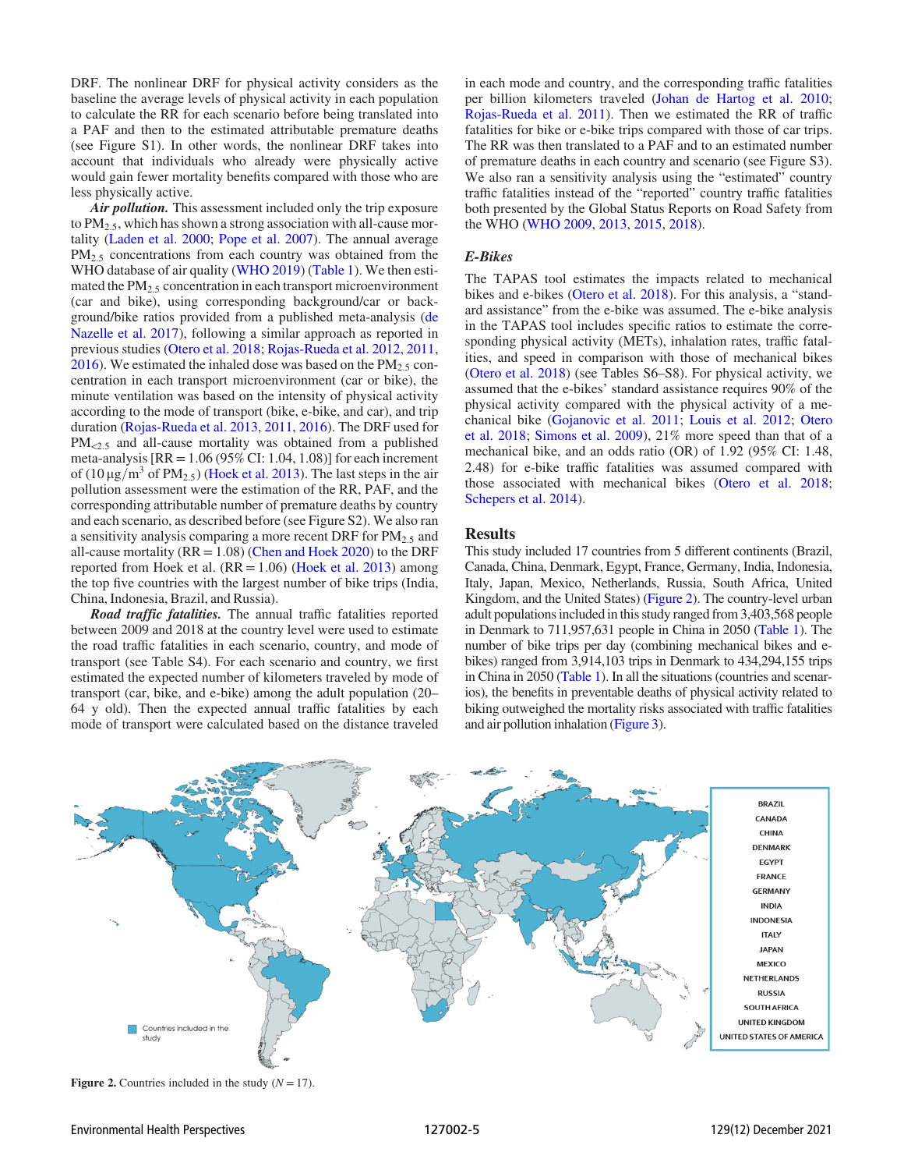DRF. The nonlinear DRF for physical activity considers as the baseline the average levels of physical activity in each population to calculate the RR for each scenario before being translated into a PAF and then to the estimated attributable premature deaths (see Figure S1). In other words, the nonlinear DRF takes into account that individuals who already were physically active would gain fewer mortality benefits compared with those who are less physically active.

Air *pollution*. This assessment included only the trip exposure to  $PM_{2.5}$ , which has shown a strong association with all-cause mortality ([Laden et al. 2000](#page-9-30); [Pope et al. 2007](#page-9-31)). The annual average PM<sub>2.5</sub> concentrations from each country was obtained from the WHO database of air quality [\(WHO 2019\)](#page-9-14) ([Table 1](#page-1-0)). We then estimated the  $PM<sub>2.5</sub>$  concentration in each transport microenvironment (car and bike), using corresponding background/car or background/bike ratios provided from a published meta-analysis [\(de](#page-8-11) [Nazelle et al. 2017](#page-8-11)), following a similar approach as reported in previous studies [\(Otero et al. 2018;](#page-9-24) [Rojas-Rueda et al. 2012](#page-9-11), [2011,](#page-9-32) [2016](#page-9-25)). We estimated the inhaled dose was based on the  $PM_{2.5}$  concentration in each transport microenvironment (car or bike), the minute ventilation was based on the intensity of physical activity according to the mode of transport (bike, e-bike, and car), and trip duration ([Rojas-Rueda et al. 2013,](#page-9-33) [2011](#page-9-32), [2016\)](#page-9-25). The DRF used for  $PM<sub>0.5</sub>$  and all-cause mortality was obtained from a published meta-analysis  $[RR = 1.06 (95\% CI: 1.04, 1.08)]$  for each increment of (10  $\mu$ g/m<sup>3</sup> of PM<sub>2.5</sub>) [\(Hoek et al. 2013](#page-8-8)). The last steps in the air pollution assessment were the estimation of the RR, PAF, and the corresponding attributable number of premature deaths by country and each scenario, as described before (see Figure S2). We also ran a sensitivity analysis comparing a more recent DRF for  $PM_{2.5}$  and all-cause mortality ( $RR = 1.08$ ) [\(Chen and Hoek 2020](#page-8-12)) to the DRF reported from Hoek et al.  $(RR = 1.06)$  ([Hoek et al. 2013](#page-8-8)) among the top five countries with the largest number of bike trips (India, China, Indonesia, Brazil, and Russia).

Road traffic fatalities. The annual traffic fatalities reported between 2009 and 2018 at the country level were used to estimate the road traffic fatalities in each scenario, country, and mode of transport (see Table S4). For each scenario and country, we first estimated the expected number of kilometers traveled by mode of transport (car, bike, and e-bike) among the adult population (20– 64 y old). Then the expected annual traffic fatalities by each mode of transport were calculated based on the distance traveled in each mode and country, and the corresponding traffic fatalities per billion kilometers traveled ([Johan de Hartog et al. 2010](#page-8-13); [Rojas-Rueda et al. 2011\)](#page-9-32). Then we estimated the RR of traffic fatalities for bike or e-bike trips compared with those of car trips. The RR was then translated to a PAF and to an estimated number of premature deaths in each country and scenario (see Figure S3). We also ran a sensitivity analysis using the "estimated" country traffic fatalities instead of the "reported" country traffic fatalities both presented by the Global Status Reports on Road Safety from the WHO [\(WHO 2009](#page-9-16), [2013,](#page-9-17) [2015,](#page-9-18) [2018](#page-9-19)).

## E-Bikes

The TAPAS tool estimates the impacts related to mechanical bikes and e-bikes ([Otero et al. 2018\)](#page-9-24). For this analysis, a "standard assistance" from the e-bike was assumed. The e-bike analysis in the TAPAS tool includes specific ratios to estimate the corresponding physical activity (METs), inhalation rates, traffic fatalities, and speed in comparison with those of mechanical bikes [\(Otero et al. 2018](#page-9-24)) (see Tables S6–S8). For physical activity, we assumed that the e-bikes' standard assistance requires 90% of the physical activity compared with the physical activity of a mechanical bike ([Gojanovic et al. 2011](#page-8-14); [Louis et al. 2012;](#page-9-34) [Otero](#page-9-24) [et al. 2018;](#page-9-24) [Simons et al. 2009\)](#page-9-35), 21% more speed than that of a mechanical bike, and an odds ratio (OR) of 1.92 (95% CI: 1.48, 2.48) for e-bike traffic fatalities was assumed compared with those associated with mechanical bikes ([Otero et al. 2018](#page-9-24); [Schepers et al. 2014](#page-9-36)).

#### Results

This study included 17 countries from 5 different continents (Brazil, Canada, China, Denmark, Egypt, France, Germany, India, Indonesia, Italy, Japan, Mexico, Netherlands, Russia, South Africa, United Kingdom, and the United States) (Figure 2). The country-level urban adult populations included in this study ranged from 3,403,568 people in Denmark to 711,957,631 people in China in 2050 ([Table 1\)](#page-1-0). The number of bike trips per day (combining mechanical bikes and ebikes) ranged from 3,914,103 trips in Denmark to 434,294,155 trips in China in 2050 [\(Table 1](#page-1-0)). In all the situations (countries and scenarios), the benefits in preventable deaths of physical activity related to biking outweighed the mortality risks associated with traffic fatalities and air pollution inhalation [\(Figure 3](#page-5-0)).



Figure 2. Countries included in the study  $(N = 17)$ .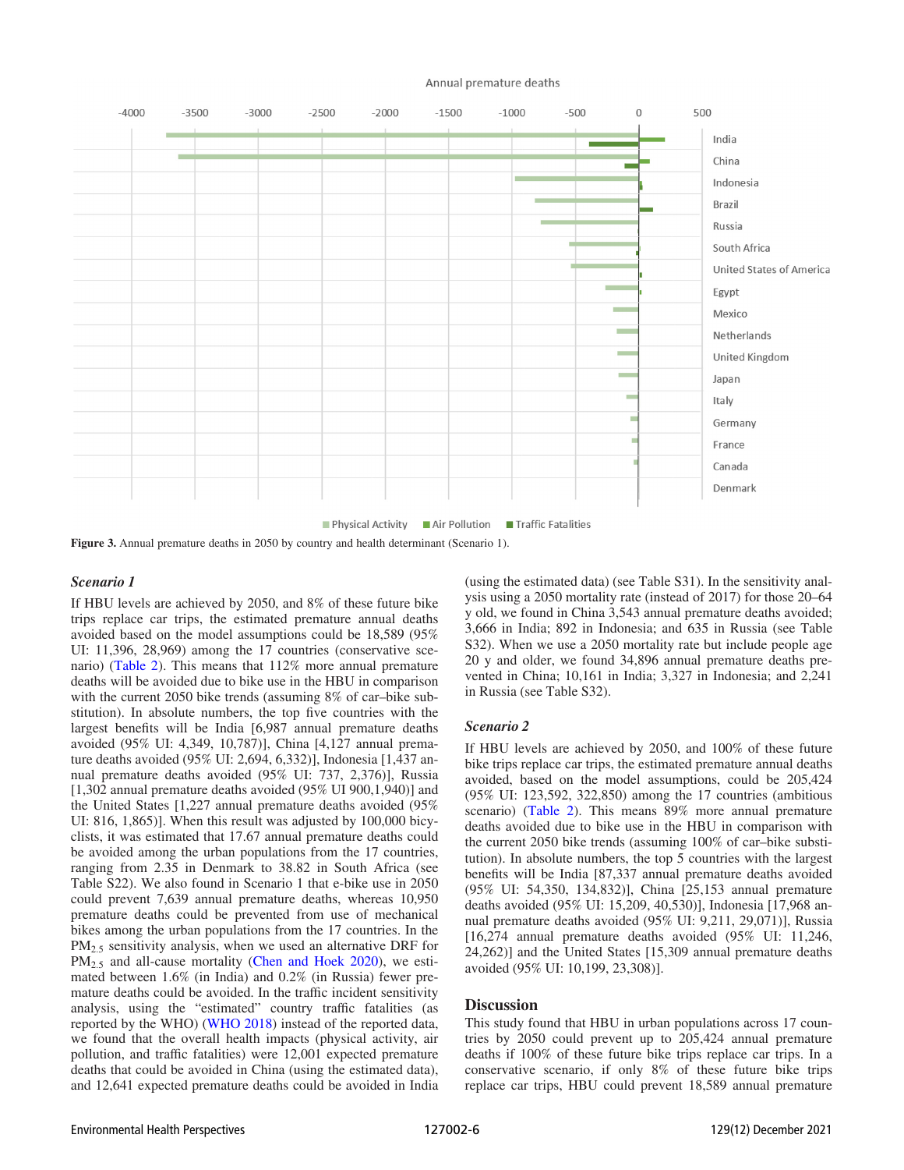#### Annual premature deaths

<span id="page-5-0"></span>

Figure 3. Annual premature deaths in 2050 by country and health determinant (Scenario 1).

#### Scenario 1

If HBU levels are achieved by 2050, and 8% of these future bike trips replace car trips, the estimated premature annual deaths avoided based on the model assumptions could be 18,589 (95% UI: 11,396, 28,969) among the 17 countries (conservative scenario) [\(Table 2](#page-6-0)). This means that 112% more annual premature deaths will be avoided due to bike use in the HBU in comparison with the current 2050 bike trends (assuming 8% of car–bike substitution). In absolute numbers, the top five countries with the largest benefits will be India [6,987 annual premature deaths avoided (95% UI: 4,349, 10,787)], China [4,127 annual premature deaths avoided (95% UI: 2,694, 6,332)], Indonesia [1,437 annual premature deaths avoided (95% UI: 737, 2,376)], Russia [1,302 annual premature deaths avoided (95% UI 900,1,940)] and the United States [1,227 annual premature deaths avoided (95% UI: 816, 1,865)]. When this result was adjusted by 100,000 bicyclists, it was estimated that 17.67 annual premature deaths could be avoided among the urban populations from the 17 countries, ranging from 2.35 in Denmark to 38.82 in South Africa (see Table S22). We also found in Scenario 1 that e-bike use in 2050 could prevent 7,639 annual premature deaths, whereas 10,950 premature deaths could be prevented from use of mechanical bikes among the urban populations from the 17 countries. In the PM<sub>2.5</sub> sensitivity analysis, when we used an alternative DRF for PM<sub>2.5</sub> and all-cause mortality [\(Chen and Hoek 2020](#page-8-12)), we estimated between 1.6% (in India) and 0.2% (in Russia) fewer premature deaths could be avoided. In the traffic incident sensitivity analysis, using the "estimated" country traffic fatalities (as reported by the WHO) [\(WHO 2018\)](#page-9-19) instead of the reported data, we found that the overall health impacts (physical activity, air pollution, and traffic fatalities) were 12,001 expected premature deaths that could be avoided in China (using the estimated data), and 12,641 expected premature deaths could be avoided in India (using the estimated data) (see Table S31). In the sensitivity analysis using a 2050 mortality rate (instead of 2017) for those 20–64 y old, we found in China 3,543 annual premature deaths avoided; 3,666 in India; 892 in Indonesia; and 635 in Russia (see Table S32). When we use a 2050 mortality rate but include people age 20 y and older, we found 34,896 annual premature deaths prevented in China; 10,161 in India; 3,327 in Indonesia; and 2,241 in Russia (see Table S32).

### Scenario 2

If HBU levels are achieved by 2050, and 100% of these future bike trips replace car trips, the estimated premature annual deaths avoided, based on the model assumptions, could be 205,424 (95% UI: 123,592, 322,850) among the 17 countries (ambitious scenario) ([Table 2\)](#page-6-0). This means 89% more annual premature deaths avoided due to bike use in the HBU in comparison with the current 2050 bike trends (assuming 100% of car–bike substitution). In absolute numbers, the top 5 countries with the largest benefits will be India [87,337 annual premature deaths avoided (95% UI: 54,350, 134,832)], China [25,153 annual premature deaths avoided (95% UI: 15,209, 40,530)], Indonesia [17,968 annual premature deaths avoided (95% UI: 9,211, 29,071)], Russia [16,274 annual premature deaths avoided (95% UI: 11,246, 24,262)] and the United States [15,309 annual premature deaths avoided (95% UI: 10,199, 23,308)].

#### **Discussion**

This study found that HBU in urban populations across 17 countries by 2050 could prevent up to 205,424 annual premature deaths if 100% of these future bike trips replace car trips. In a conservative scenario, if only 8% of these future bike trips replace car trips, HBU could prevent 18,589 annual premature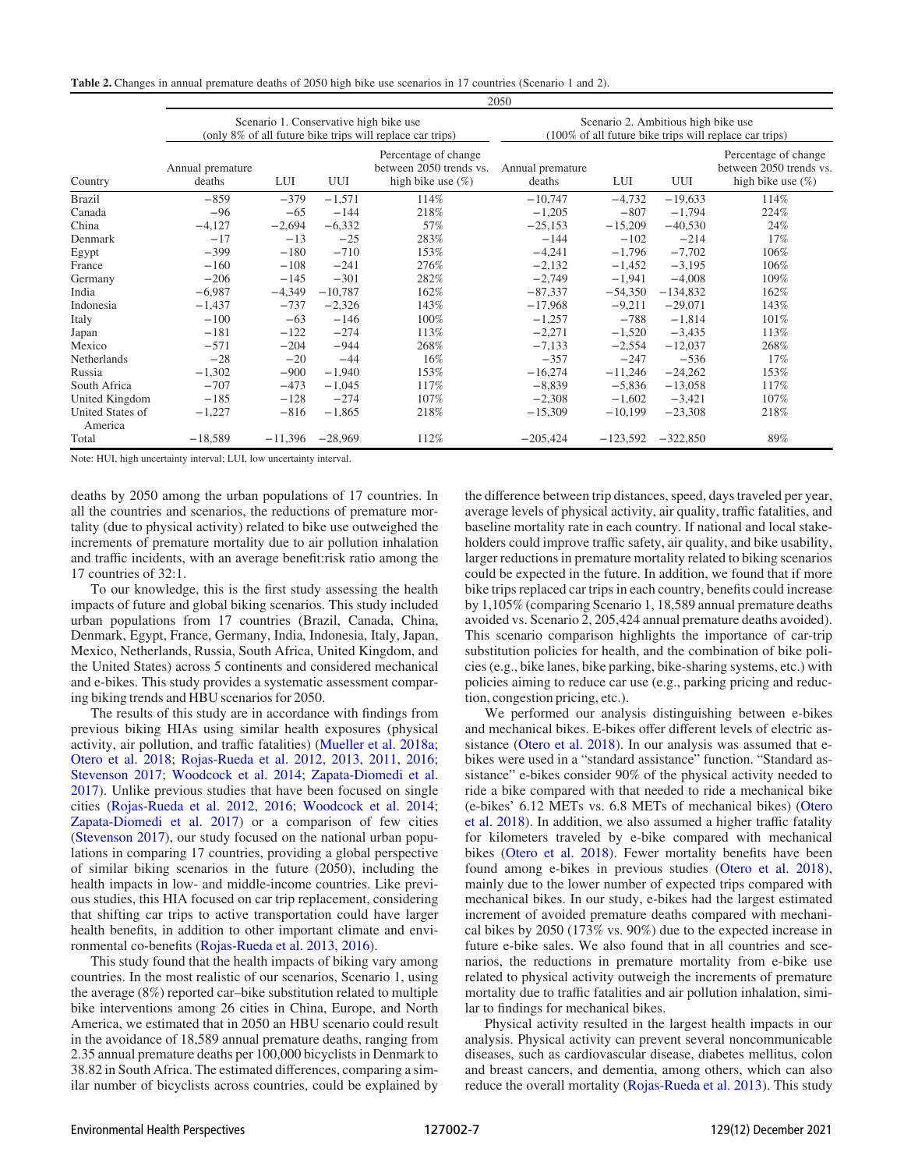<span id="page-6-0"></span>Table 2. Changes in annual premature deaths of 2050 high bike use scenarios in 17 countries (Scenario 1 and 2).

|                             |                            |           |           |                                                                                                     | 2050                                                                                          |            |            |                                                                         |
|-----------------------------|----------------------------|-----------|-----------|-----------------------------------------------------------------------------------------------------|-----------------------------------------------------------------------------------------------|------------|------------|-------------------------------------------------------------------------|
|                             |                            |           |           | Scenario 1. Conservative high bike use<br>(only 8% of all future bike trips will replace car trips) | Scenario 2. Ambitious high bike use<br>(100% of all future bike trips will replace car trips) |            |            |                                                                         |
| Country                     | Annual premature<br>deaths | LUI       | UUI       | Percentage of change<br>between 2050 trends vs.<br>high bike use $(\%)$                             | Annual premature<br>deaths                                                                    | LUI        | UUI        | Percentage of change<br>between 2050 trends vs.<br>high bike use $(\%)$ |
| <b>Brazil</b>               | $-859$                     | $-379$    | $-1,571$  | 114%                                                                                                | $-10,747$                                                                                     | $-4,732$   | $-19,633$  | 114%                                                                    |
| Canada                      | $-96$                      | $-65$     | $-144$    | 218%                                                                                                | $-1,205$                                                                                      | $-807$     | $-1,794$   | 224%                                                                    |
| China                       | $-4,127$                   | $-2,694$  | $-6,332$  | 57%                                                                                                 | $-25,153$                                                                                     | $-15,209$  | $-40,530$  | 24%                                                                     |
| Denmark                     | $-17$                      | $-13$     | $-25$     | 283%                                                                                                | $-144$                                                                                        | $-102$     | $-214$     | 17%                                                                     |
| Egypt                       | $-399$                     | $-180$    | $-710$    | 153%                                                                                                | $-4,241$                                                                                      | $-1,796$   | $-7,702$   | 106%                                                                    |
| France                      | $-160$                     | $-108$    | $-241$    | 276%                                                                                                | $-2,132$                                                                                      | $-1.452$   | $-3,195$   | 106%                                                                    |
| Germany                     | $-206$                     | $-145$    | $-301$    | 282%                                                                                                | $-2,749$                                                                                      | $-1,941$   | $-4,008$   | 109%                                                                    |
| India                       | $-6,987$                   | $-4,349$  | $-10,787$ | 162%                                                                                                | $-87,337$                                                                                     | $-54,350$  | $-134,832$ | 162%                                                                    |
| Indonesia                   | $-1,437$                   | $-737$    | $-2,326$  | 143%                                                                                                | $-17,968$                                                                                     | $-9,211$   | $-29,071$  | 143%                                                                    |
| Italy                       | $-100$                     | $-63$     | $-146$    | 100%                                                                                                | $-1,257$                                                                                      | $-788$     | $-1,814$   | 101%                                                                    |
| Japan                       | $-181$                     | $-122$    | $-274$    | 113%                                                                                                | $-2,271$                                                                                      | $-1,520$   | $-3,435$   | 113%                                                                    |
| Mexico                      | $-571$                     | $-204$    | $-944$    | 268%                                                                                                | $-7,133$                                                                                      | $-2,554$   | $-12,037$  | 268%                                                                    |
| <b>Netherlands</b>          | $-28$                      | $-20$     | $-44$     | 16%                                                                                                 | $-357$                                                                                        | $-247$     | $-536$     | 17%                                                                     |
| Russia                      | $-1,302$                   | $-900$    | $-1,940$  | 153%                                                                                                | $-16,274$                                                                                     | $-11,246$  | $-24,262$  | 153%                                                                    |
| South Africa                | $-707$                     | $-473$    | $-1,045$  | 117%                                                                                                | $-8,839$                                                                                      | $-5,836$   | $-13,058$  | 117%                                                                    |
| United Kingdom              | $-185$                     | $-128$    | $-274$    | 107%                                                                                                | $-2,308$                                                                                      | $-1,602$   | $-3,421$   | 107%                                                                    |
| United States of<br>America | $-1,227$                   | $-816$    | $-1,865$  | 218%                                                                                                | $-15,309$                                                                                     | $-10,199$  | $-23,308$  | 218%                                                                    |
| Total                       | $-18,589$                  | $-11.396$ | $-28,969$ | 112%                                                                                                | $-205,424$                                                                                    | $-123,592$ | $-322,850$ | 89%                                                                     |

Note: HUI, high uncertainty interval; LUI, low uncertainty interval.

deaths by 2050 among the urban populations of 17 countries. In all the countries and scenarios, the reductions of premature mortality (due to physical activity) related to bike use outweighed the increments of premature mortality due to air pollution inhalation and traffic incidents, with an average benefit:risk ratio among the 17 countries of 32:1.

To our knowledge, this is the first study assessing the health impacts of future and global biking scenarios. This study included urban populations from 17 countries (Brazil, Canada, China, Denmark, Egypt, France, Germany, India, Indonesia, Italy, Japan, Mexico, Netherlands, Russia, South Africa, United Kingdom, and the United States) across 5 continents and considered mechanical and e-bikes. This study provides a systematic assessment comparing biking trends and HBU scenarios for 2050.

The results of this study are in accordance with findings from previous biking HIAs using similar health exposures (physical activity, air pollution, and traffic fatalities) ([Mueller et al. 2018a](#page-9-37); [Otero et al. 2018](#page-9-24); [Rojas-Rueda et al. 2012](#page-9-11), [2013,](#page-9-33) [2011](#page-9-32), [2016](#page-9-25); [Stevenson 2017;](#page-9-38) [Woodcock et al. 2014](#page-9-39); [Zapata-Diomedi et al.](#page-9-40) [2017](#page-9-40)). Unlike previous studies that have been focused on single cities [\(Rojas-Rueda et al. 2012](#page-9-11), [2016](#page-9-25); [Woodcock et al. 2014](#page-9-39); [Zapata-Diomedi et al. 2017\)](#page-9-40) or a comparison of few cities [\(Stevenson 2017\)](#page-9-38), our study focused on the national urban populations in comparing 17 countries, providing a global perspective of similar biking scenarios in the future (2050), including the health impacts in low- and middle-income countries. Like previous studies, this HIA focused on car trip replacement, considering that shifting car trips to active transportation could have larger health benefits, in addition to other important climate and environmental co-benefits ([Rojas-Rueda et al. 2013,](#page-9-33) [2016\)](#page-9-25).

This study found that the health impacts of biking vary among countries. In the most realistic of our scenarios, Scenario 1, using the average (8%) reported car–bike substitution related to multiple bike interventions among 26 cities in China, Europe, and North America, we estimated that in 2050 an HBU scenario could result in the avoidance of 18,589 annual premature deaths, ranging from 2.35 annual premature deaths per 100,000 bicyclists in Denmark to 38.82 in South Africa. The estimated differences, comparing a similar number of bicyclists across countries, could be explained by the difference between trip distances, speed, days traveled per year, average levels of physical activity, air quality, traffic fatalities, and baseline mortality rate in each country. If national and local stakeholders could improve traffic safety, air quality, and bike usability, larger reductions in premature mortality related to biking scenarios could be expected in the future. In addition, we found that if more bike trips replaced car trips in each country, benefits could increase by 1,105% (comparing Scenario 1, 18,589 annual premature deaths avoided vs. Scenario 2, 205,424 annual premature deaths avoided). This scenario comparison highlights the importance of car-trip substitution policies for health, and the combination of bike policies (e.g., bike lanes, bike parking, bike-sharing systems, etc.) with policies aiming to reduce car use (e.g., parking pricing and reduction, congestion pricing, etc.).

We performed our analysis distinguishing between e-bikes and mechanical bikes. E-bikes offer different levels of electric assistance [\(Otero et al. 2018](#page-9-24)). In our analysis was assumed that ebikes were used in a "standard assistance" function. "Standard assistance" e-bikes consider 90% of the physical activity needed to ride a bike compared with that needed to ride a mechanical bike (e-bikes' 6.12 METs vs. 6.8 METs of mechanical bikes) [\(Otero](#page-9-24) [et al. 2018\)](#page-9-24). In addition, we also assumed a higher traffic fatality for kilometers traveled by e-bike compared with mechanical bikes ([Otero et al. 2018\)](#page-9-24). Fewer mortality benefits have been found among e-bikes in previous studies ([Otero et al. 2018](#page-9-24)), mainly due to the lower number of expected trips compared with mechanical bikes. In our study, e-bikes had the largest estimated increment of avoided premature deaths compared with mechanical bikes by 2050 (173% vs. 90%) due to the expected increase in future e-bike sales. We also found that in all countries and scenarios, the reductions in premature mortality from e-bike use related to physical activity outweigh the increments of premature mortality due to traffic fatalities and air pollution inhalation, similar to findings for mechanical bikes.

Physical activity resulted in the largest health impacts in our analysis. Physical activity can prevent several noncommunicable diseases, such as cardiovascular disease, diabetes mellitus, colon and breast cancers, and dementia, among others, which can also reduce the overall mortality [\(Rojas-Rueda et al. 2013](#page-9-33)). This study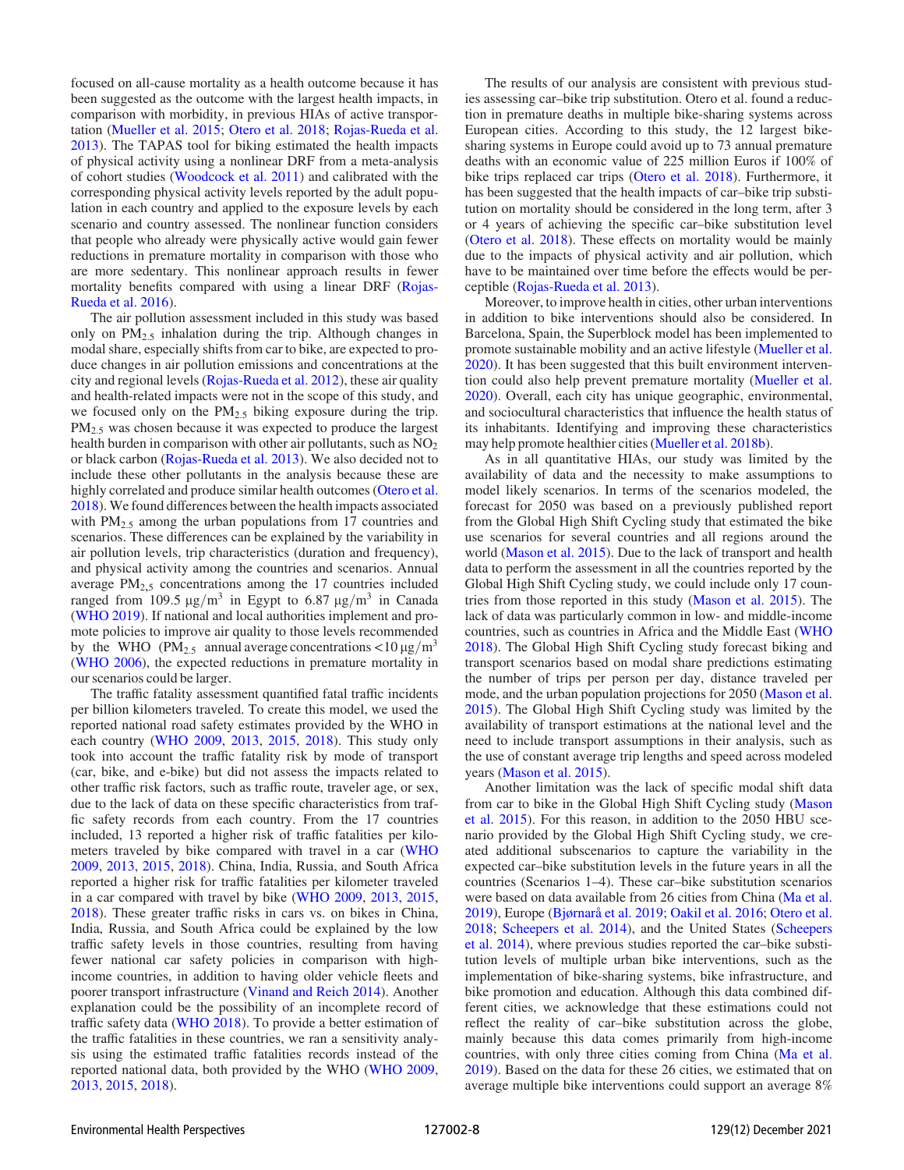focused on all-cause mortality as a health outcome because it has been suggested as the outcome with the largest health impacts, in comparison with morbidity, in previous HIAs of active transportation ([Mueller et al. 2015](#page-9-41); [Otero et al. 2018;](#page-9-24) [Rojas-Rueda et al.](#page-9-33) [2013](#page-9-33)). The TAPAS tool for biking estimated the health impacts of physical activity using a nonlinear DRF from a meta-analysis of cohort studies [\(Woodcock et al. 2011\)](#page-9-26) and calibrated with the corresponding physical activity levels reported by the adult population in each country and applied to the exposure levels by each scenario and country assessed. The nonlinear function considers that people who already were physically active would gain fewer reductions in premature mortality in comparison with those who are more sedentary. This nonlinear approach results in fewer mortality benefits compared with using a linear DRF [\(Rojas-](#page-9-25)[Rueda et al. 2016](#page-9-25)).

The air pollution assessment included in this study was based only on  $PM_{2.5}$  inhalation during the trip. Although changes in modal share, especially shifts from car to bike, are expected to produce changes in air pollution emissions and concentrations at the city and regional levels [\(Rojas-Rueda et al. 2012\)](#page-9-11), these air quality and health-related impacts were not in the scope of this study, and we focused only on the  $PM<sub>2.5</sub>$  biking exposure during the trip.  $PM<sub>2.5</sub>$  was chosen because it was expected to produce the largest health burden in comparison with other air pollutants, such as  $NO<sub>2</sub>$ or black carbon [\(Rojas-Rueda et al. 2013\)](#page-9-33). We also decided not to include these other pollutants in the analysis because these are highly correlated and produce similar health outcomes ([Otero et al.](#page-9-24) [2018](#page-9-24)). We found differences between the health impacts associated with  $PM_{2.5}$  among the urban populations from 17 countries and scenarios. These differences can be explained by the variability in air pollution levels, trip characteristics (duration and frequency), and physical activity among the countries and scenarios. Annual average  $PM<sub>2.5</sub>$  concentrations among the 17 countries included ranged from 109.5  $\mu$ g/m<sup>3</sup> in Egypt to 6.87  $\mu$ g/m<sup>3</sup> in Canada [\(WHO 2019](#page-9-14)). If national and local authorities implement and promote policies to improve air quality to those levels recommended by the WHO (PM<sub>2.5</sub> annual average concentrations  $\langle 10 \mu g/m^3 \rangle$ [\(WHO 2006](#page-9-42)), the expected reductions in premature mortality in our scenarios could be larger.

The traffic fatality assessment quantified fatal traffic incidents per billion kilometers traveled. To create this model, we used the reported national road safety estimates provided by the WHO in each country ([WHO 2009](#page-9-16), [2013,](#page-9-17) [2015,](#page-9-18) [2018\)](#page-9-19). This study only took into account the traffic fatality risk by mode of transport (car, bike, and e-bike) but did not assess the impacts related to other traffic risk factors, such as traffic route, traveler age, or sex, due to the lack of data on these specific characteristics from traffic safety records from each country. From the 17 countries included, 13 reported a higher risk of traffic fatalities per kilometers traveled by bike compared with travel in a car [\(WHO](#page-9-16) [2009](#page-9-16), [2013](#page-9-17), [2015,](#page-9-18) [2018\)](#page-9-19). China, India, Russia, and South Africa reported a higher risk for traffic fatalities per kilometer traveled in a car compared with travel by bike ([WHO 2009,](#page-9-16) [2013](#page-9-17), [2015,](#page-9-18) [2018](#page-9-19)). These greater traffic risks in cars vs. on bikes in China, India, Russia, and South Africa could be explained by the low traffic safety levels in those countries, resulting from having fewer national car safety policies in comparison with highincome countries, in addition to having older vehicle fleets and poorer transport infrastructure ([Vinand and Reich 2014\)](#page-9-43). Another explanation could be the possibility of an incomplete record of traffic safety data [\(WHO 2018\)](#page-9-19). To provide a better estimation of the traffic fatalities in these countries, we ran a sensitivity analysis using the estimated traffic fatalities records instead of the reported national data, both provided by the WHO ([WHO 2009,](#page-9-16) [2013](#page-9-17), [2015,](#page-9-18) [2018\)](#page-9-19).

The results of our analysis are consistent with previous studies assessing car–bike trip substitution. Otero et al. found a reduction in premature deaths in multiple bike-sharing systems across European cities. According to this study, the 12 largest bikesharing systems in Europe could avoid up to 73 annual premature deaths with an economic value of 225 million Euros if 100% of bike trips replaced car trips [\(Otero et al. 2018\)](#page-9-24). Furthermore, it has been suggested that the health impacts of car–bike trip substitution on mortality should be considered in the long term, after 3 or 4 years of achieving the specific car–bike substitution level [\(Otero et al. 2018\)](#page-9-24). These effects on mortality would be mainly due to the impacts of physical activity and air pollution, which have to be maintained over time before the effects would be perceptible [\(Rojas-Rueda et al. 2013](#page-9-33)).

Moreover, to improve health in cities, other urban interventions in addition to bike interventions should also be considered. In Barcelona, Spain, the Superblock model has been implemented to promote sustainable mobility and an active lifestyle ([Mueller et al.](#page-9-4) [2020](#page-9-4)). It has been suggested that this built environment intervention could also help prevent premature mortality [\(Mueller et al.](#page-9-4) [2020](#page-9-4)). Overall, each city has unique geographic, environmental, and sociocultural characteristics that influence the health status of its inhabitants. Identifying and improving these characteristics may help promote healthier cities ([Mueller et al. 2018b\)](#page-9-12).

As in all quantitative HIAs, our study was limited by the availability of data and the necessity to make assumptions to model likely scenarios. In terms of the scenarios modeled, the forecast for 2050 was based on a previously published report from the Global High Shift Cycling study that estimated the bike use scenarios for several countries and all regions around the world ([Mason et al. 2015\)](#page-9-7). Due to the lack of transport and health data to perform the assessment in all the countries reported by the Global High Shift Cycling study, we could include only 17 countries from those reported in this study [\(Mason et al. 2015](#page-9-7)). The lack of data was particularly common in low- and middle-income countries, such as countries in Africa and the Middle East [\(WHO](#page-9-19) [2018](#page-9-19)). The Global High Shift Cycling study forecast biking and transport scenarios based on modal share predictions estimating the number of trips per person per day, distance traveled per mode, and the urban population projections for 2050 ([Mason et al.](#page-9-7) [2015](#page-9-7)). The Global High Shift Cycling study was limited by the availability of transport estimations at the national level and the need to include transport assumptions in their analysis, such as the use of constant average trip lengths and speed across modeled years [\(Mason et al. 2015](#page-9-7)).

Another limitation was the lack of specific modal shift data from car to bike in the Global High Shift Cycling study [\(Mason](#page-9-7) [et al. 2015](#page-9-7)). For this reason, in addition to the 2050 HBU scenario provided by the Global High Shift Cycling study, we created additional subscenarios to capture the variability in the expected car–bike substitution levels in the future years in all the countries (Scenarios 1–4). These car–bike substitution scenarios were based on data available from 26 cities from China [\(Ma et al.](#page-9-27) [2019](#page-9-27)), Europe ([Bjørnarå et al. 2019](#page-8-9); [Oakil et al. 2016](#page-9-28); [Otero et al.](#page-9-24) [2018](#page-9-24); [Scheepers et al. 2014\)](#page-9-29), and the United States ([Scheepers](#page-9-29) [et al. 2014\)](#page-9-29), where previous studies reported the car–bike substitution levels of multiple urban bike interventions, such as the implementation of bike-sharing systems, bike infrastructure, and bike promotion and education. Although this data combined different cities, we acknowledge that these estimations could not reflect the reality of car–bike substitution across the globe, mainly because this data comes primarily from high-income countries, with only three cities coming from China ([Ma et al.](#page-9-27) [2019](#page-9-27)). Based on the data for these 26 cities, we estimated that on average multiple bike interventions could support an average 8%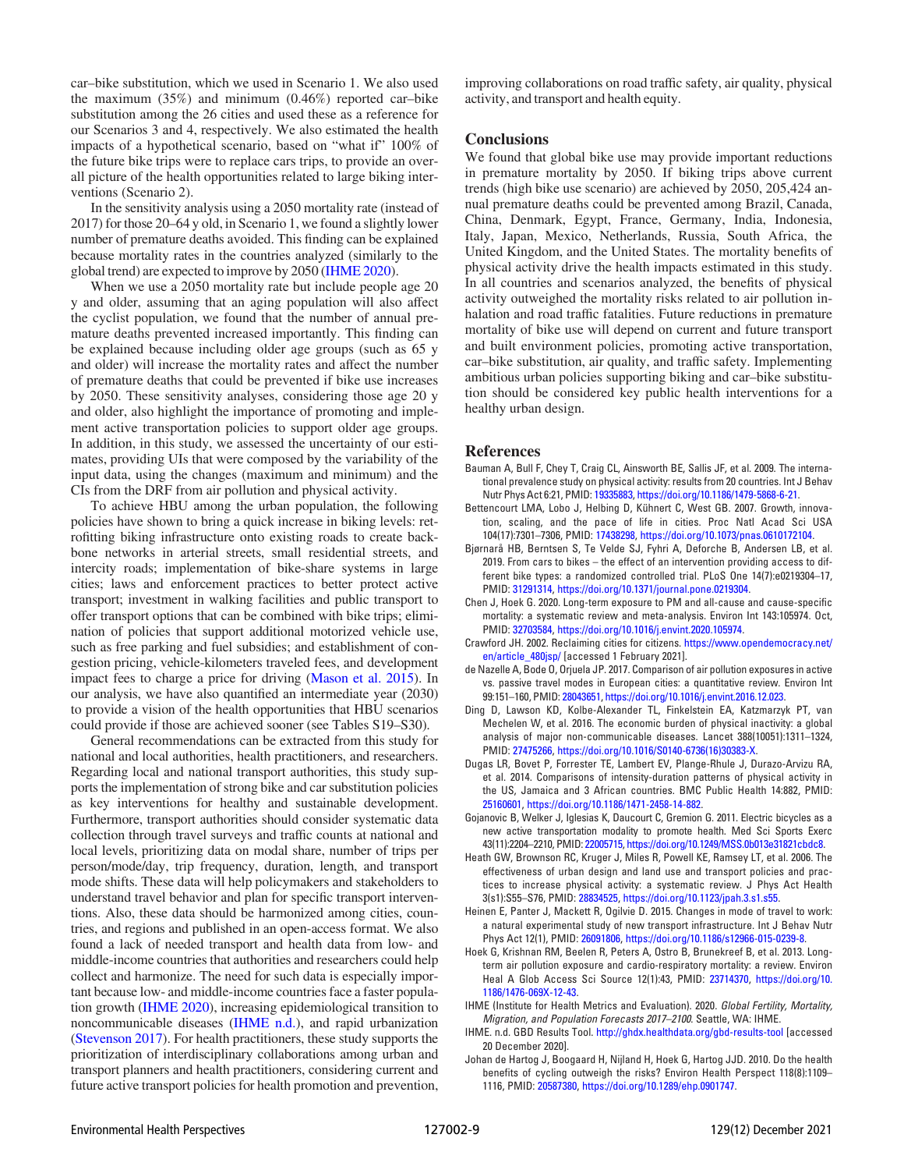car–bike substitution, which we used in Scenario 1. We also used the maximum (35%) and minimum (0.46%) reported car–bike substitution among the 26 cities and used these as a reference for our Scenarios 3 and 4, respectively. We also estimated the health impacts of a hypothetical scenario, based on "what if" 100% of the future bike trips were to replace cars trips, to provide an overall picture of the health opportunities related to large biking interventions (Scenario 2).

In the sensitivity analysis using a 2050 mortality rate (instead of 2017) for those 20–64 y old, in Scenario 1, we found a slightly lower number of premature deaths avoided. This finding can be explained because mortality rates in the countries analyzed (similarly to the global trend) are expected to improve by 2050 [\(IHME 2020\)](#page-8-10).

When we use a 2050 mortality rate but include people age 20 y and older, assuming that an aging population will also affect the cyclist population, we found that the number of annual premature deaths prevented increased importantly. This finding can be explained because including older age groups (such as 65 y and older) will increase the mortality rates and affect the number of premature deaths that could be prevented if bike use increases by 2050. These sensitivity analyses, considering those age 20 y and older, also highlight the importance of promoting and implement active transportation policies to support older age groups. In addition, in this study, we assessed the uncertainty of our estimates, providing UIs that were composed by the variability of the input data, using the changes (maximum and minimum) and the CIs from the DRF from air pollution and physical activity.

To achieve HBU among the urban population, the following policies have shown to bring a quick increase in biking levels: retrofitting biking infrastructure onto existing roads to create backbone networks in arterial streets, small residential streets, and intercity roads; implementation of bike-share systems in large cities; laws and enforcement practices to better protect active transport; investment in walking facilities and public transport to offer transport options that can be combined with bike trips; elimination of policies that support additional motorized vehicle use, such as free parking and fuel subsidies; and establishment of congestion pricing, vehicle-kilometers traveled fees, and development impact fees to charge a price for driving ([Mason et al. 2015](#page-9-7)). In our analysis, we have also quantified an intermediate year (2030) to provide a vision of the health opportunities that HBU scenarios could provide if those are achieved sooner (see Tables S19–S30).

General recommendations can be extracted from this study for national and local authorities, health practitioners, and researchers. Regarding local and national transport authorities, this study supports the implementation of strong bike and car substitution policies as key interventions for healthy and sustainable development. Furthermore, transport authorities should consider systematic data collection through travel surveys and traffic counts at national and local levels, prioritizing data on modal share, number of trips per person/mode/day, trip frequency, duration, length, and transport mode shifts. These data will help policymakers and stakeholders to understand travel behavior and plan for specific transport interventions. Also, these data should be harmonized among cities, countries, and regions and published in an open-access format. We also found a lack of needed transport and health data from low- and middle-income countries that authorities and researchers could help collect and harmonize. The need for such data is especially important because low- and middle-income countries face a faster population growth ([IHME 2020\)](#page-8-10), increasing epidemiological transition to noncommunicable diseases [\(IHME n.d.](#page-8-4)), and rapid urbanization [\(Stevenson 2017](#page-9-38)). For health practitioners, these study supports the prioritization of interdisciplinary collaborations among urban and transport planners and health practitioners, considering current and future active transport policies for health promotion and prevention, improving collaborations on road traffic safety, air quality, physical activity, and transport and health equity.

#### **Conclusions**

We found that global bike use may provide important reductions in premature mortality by 2050. If biking trips above current trends (high bike use scenario) are achieved by 2050, 205,424 annual premature deaths could be prevented among Brazil, Canada, China, Denmark, Egypt, France, Germany, India, Indonesia, Italy, Japan, Mexico, Netherlands, Russia, South Africa, the United Kingdom, and the United States. The mortality benefits of physical activity drive the health impacts estimated in this study. In all countries and scenarios analyzed, the benefits of physical activity outweighed the mortality risks related to air pollution inhalation and road traffic fatalities. Future reductions in premature mortality of bike use will depend on current and future transport and built environment policies, promoting active transportation, car–bike substitution, air quality, and traffic safety. Implementing ambitious urban policies supporting biking and car–bike substitution should be considered key public health interventions for a healthy urban design.

#### References

- <span id="page-8-5"></span>Bauman A, Bull F, Chey T, Craig CL, Ainsworth BE, Sallis JF, et al. 2009. The international prevalence study on physical activity: results from 20 countries. Int J Behav Nutr Phys Act 6:21, PMID: [19335883,](https://www.ncbi.nlm.nih.gov/pubmed/19335883) <https://doi.org/10.1186/1479-5868-6-21>.
- <span id="page-8-1"></span>Bettencourt LMA, Lobo J, Helbing D, Kühnert C, West GB. 2007. Growth, innovation, scaling, and the pace of life in cities. Proc Natl Acad Sci USA 104(17):7301–7306, PMID: [17438298](https://www.ncbi.nlm.nih.gov/pubmed/17438298), <https://doi.org/10.1073/pnas.0610172104>.
- <span id="page-8-9"></span>Bjørnarå HB, Berntsen S, Te Velde SJ, Fyhri A, Deforche B, Andersen LB, et al. 2019. From cars to bikes – the effect of an intervention providing access to different bike types: a randomized controlled trial. PLoS One 14(7):e0219304–17, PMID: [31291314](https://www.ncbi.nlm.nih.gov/pubmed/31291314), <https://doi.org/10.1371/journal.pone.0219304>.
- <span id="page-8-12"></span>Chen J, Hoek G. 2020. Long-term exposure to PM and all-cause and cause-specific mortality: a systematic review and meta-analysis. Environ Int 143:105974. Oct, PMID: [32703584](https://www.ncbi.nlm.nih.gov/pubmed/32703584), [https://doi.org/10.1016/j.envint.2020.105974.](https://doi.org/10.1016/j.envint.2020.105974)
- <span id="page-8-0"></span>Crawford JH. 2002. Reclaiming cities for citizens. [https://www.opendemocracy.net/](https://www.opendemocracy.net/en/article_480jsp/) [en/article\\_480jsp/](https://www.opendemocracy.net/en/article_480jsp/) [accessed 1 February 2021].
- <span id="page-8-11"></span>de Nazelle A, Bode O, Orjuela JP. 2017. Comparison of air pollution exposures in active vs. passive travel modes in European cities: a quantitative review. Environ Int 99:151–160, PMID: [28043651](https://www.ncbi.nlm.nih.gov/pubmed/28043651), [https://doi.org/10.1016/j.envint.2016.12.023.](https://doi.org/10.1016/j.envint.2016.12.023)
- <span id="page-8-6"></span>Ding D, Lawson KD, Kolbe-Alexander TL, Finkelstein EA, Katzmarzyk PT, van Mechelen W, et al. 2016. The economic burden of physical inactivity: a global analysis of major non-communicable diseases. Lancet 388(10051):1311–1324, PMID: [27475266](https://www.ncbi.nlm.nih.gov/pubmed/27475266), [https://doi.org/10.1016/S0140-6736\(16\)30383-X.](https://doi.org/10.1016/S0140-6736(16)30383-X)
- <span id="page-8-7"></span>Dugas LR, Bovet P, Forrester TE, Lambert EV, Plange-Rhule J, Durazo-Arvizu RA, et al. 2014. Comparisons of intensity-duration patterns of physical activity in the US, Jamaica and 3 African countries. BMC Public Health 14:882, PMID: [25160601,](https://www.ncbi.nlm.nih.gov/pubmed/25160601) [https://doi.org/10.1186/1471-2458-14-882.](https://doi.org/10.1186/1471-2458-14-882)
- <span id="page-8-14"></span>Gojanovic B, Welker J, Iglesias K, Daucourt C, Gremion G. 2011. Electric bicycles as a new active transportation modality to promote health. Med Sci Sports Exerc 43(11):2204–2210, PMID: [22005715,](https://www.ncbi.nlm.nih.gov/pubmed/22005715) [https://doi.org/10.1249/MSS.0b013e31821cbdc8.](https://doi.org/10.1249/MSS.0b013e31821cbdc8)
- <span id="page-8-2"></span>Heath GW, Brownson RC, Kruger J, Miles R, Powell KE, Ramsey LT, et al. 2006. The effectiveness of urban design and land use and transport policies and practices to increase physical activity: a systematic review. J Phys Act Health 3(s1):S55–S76, PMID: [28834525,](https://www.ncbi.nlm.nih.gov/pubmed/28834525) <https://doi.org/10.1123/jpah.3.s1.s55>.
- <span id="page-8-3"></span>Heinen E, Panter J, Mackett R, Ogilvie D. 2015. Changes in mode of travel to work: a natural experimental study of new transport infrastructure. Int J Behav Nutr Phys Act 12(1), PMID: [26091806](https://www.ncbi.nlm.nih.gov/pubmed/26091806), [https://doi.org/10.1186/s12966-015-0239-8.](https://doi.org/10.1186/s12966-015-0239-8)
- <span id="page-8-8"></span>Hoek G, Krishnan RM, Beelen R, Peters A, Ostro B, Brunekreef B, et al. 2013. Longterm air pollution exposure and cardio-respiratory mortality: a review. Environ Heal A Glob Access Sci Source 12(1):43, PMID: [23714370](https://www.ncbi.nlm.nih.gov/pubmed/23714370), [https://doi.org/10.](https://doi.org/10.1186/1476-069X-12-43) [1186/1476-069X-12-43.](https://doi.org/10.1186/1476-069X-12-43)
- <span id="page-8-10"></span>IHME (Institute for Health Metrics and Evaluation). 2020. Global Fertility, Mortality, Migration, and Population Forecasts 2017–2100. Seattle, WA: IHME.
- <span id="page-8-4"></span>IHME. n.d. GBD Results Tool. <http://ghdx.healthdata.org/gbd-results-tool> [accessed 20 December 2020].
- <span id="page-8-13"></span>Johan de Hartog J, Boogaard H, Nijland H, Hoek G, Hartog JJD. 2010. Do the health benefits of cycling outweigh the risks? Environ Health Perspect 118(8):1109– 1116, PMID: [20587380,](https://www.ncbi.nlm.nih.gov/pubmed/20587380) [https://doi.org/10.1289/ehp.0901747.](https://doi.org/10.1289/ehp.0901747)